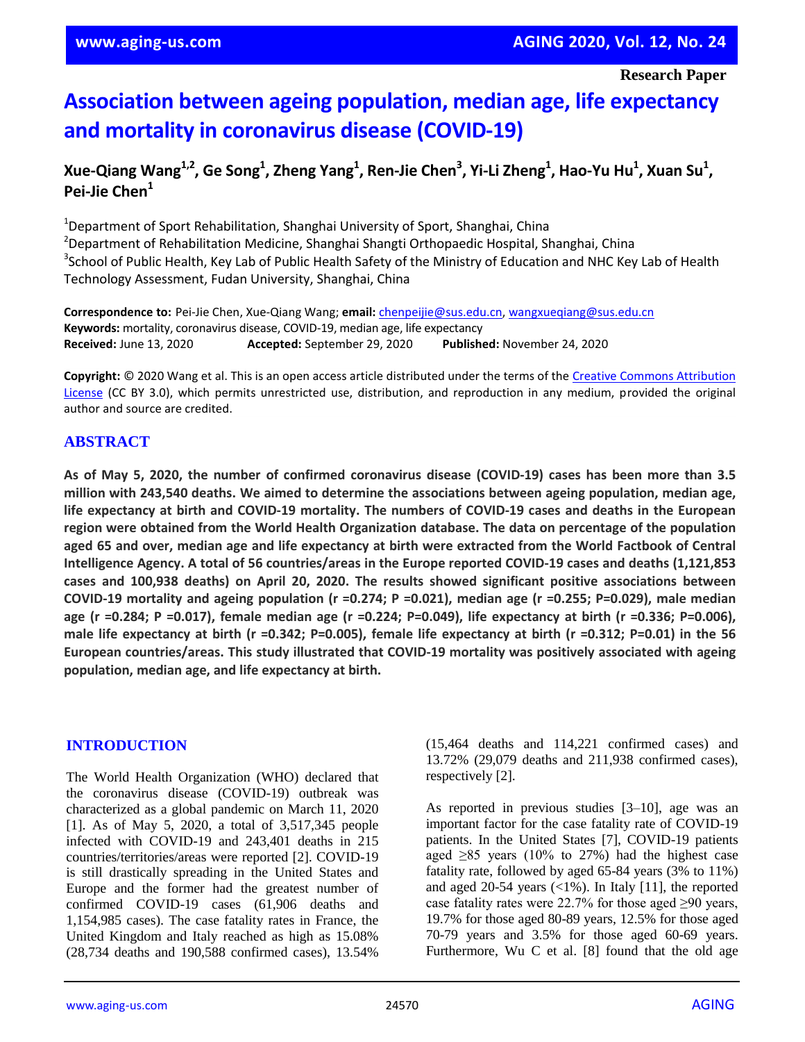# **Association between ageing population, median age, life expectancy and mortality in coronavirus disease (COVID-19)**

## Xue-Qiang Wang $^{1,2}$ , Ge Song $^1$ , Zheng Yang $^1$ , Ren-Jie Chen $^3$ , Yi-Li Zheng $^1$ , Hao-Yu Hu $^1$ , Xuan Su $^1$ , **Pei-Jie Chen<sup>1</sup>**

<sup>1</sup>Department of Sport Rehabilitation, Shanghai University of Sport, Shanghai, China <sup>2</sup>Department of Rehabilitation Medicine, Shanghai Shangti Orthopaedic Hospital, Shanghai, China <sup>3</sup>School of Public Health, Key Lab of Public Health Safety of the Ministry of Education and NHC Key Lab of Health Technology Assessment, Fudan University, Shanghai, China

**Correspondence to:** Pei-Jie Chen, Xue-Qiang Wang; **email:** chenpeijie@sus.edu.cn, wangxueqiang@sus.edu.cn **Keywords:** mortality, coronavirus disease, COVID-19, median age, life expectancy **Received:** June 13, 2020 **Accepted:** September 29, 2020 **Published:** November 24, 2020

**Copyright:** © 2020 Wang et al. This is an open access article distributed under the terms of the Creative Commons Attribution License (CC BY 3.0), which permits unrestricted use, distribution, and reproduction in any medium, provided the original author and source are credited.

## **ABSTRACT**

As of May 5, 2020, the number of confirmed coronavirus disease (COVID-19) cases has been more than 3.5 **million with 243,540 deaths. We aimed to determine the associations between ageing population, median age, life expectancy at birth and COVID-19 mortality. The numbers of COVID-19 cases and deaths in the European region were obtained from the World Health Organization database. The data on percentage of the population** aged 65 and over, median age and life expectancy at birth were extracted from the World Factbook of Central **Intelligence Agency. A total of 56 countries/areas in the Europe reported COVID-19 cases and deaths (1,121,853 cases and 100,938 deaths) on April 20, 2020. The results showed significant positive associations between COVID-19 mortality and ageing population (r =0.274; P =0.021), median age (r =0.255; P=0.029), male median** age (r =0.284; P =0.017), female median age (r =0.224; P=0.049), life expectancy at birth (r =0.336; P=0.006), male life expectancy at birth ( $r = 0.342$ ; P=0.005), female life expectancy at birth ( $r = 0.312$ ; P=0.01) in the 56 **European countries/areas. This study illustrated that COVID-19 mortality was positively associated with ageing population, median age, and life expectancy at birth.**

## **INTRODUCTION**

The World Health Organization (WHO) declared that the coronavirus disease (COVID-19) outbreak was characterized as a global pandemic on March 11, 2020 [1]. As of May 5, 2020, a total of 3,517,345 people infected with COVID-19 and 243,401 deaths in 215 countries/territories/areas were reported [2]. COVID-19 is still drastically spreading in the United States and Europe and the former had the greatest number of confirmed COVID-19 cases (61,906 deaths and 1,154,985 cases). The case fatality rates in France, the United Kingdom and Italy reached as high as 15.08% (28,734 deaths and 190,588 confirmed cases), 13.54%

(15,464 deaths and 114,221 confirmed cases) and 13.72% (29,079 deaths and 211,938 confirmed cases), respectively [2].

As reported in previous studies [3–10], age was an important factor for the case fatality rate of COVID-19 patients. In the United States [7], COVID-19 patients aged  $\geq$ 85 years (10% to 27%) had the highest case fatality rate, followed by aged 65-84 years (3% to 11%) and aged 20-54 years  $\left($  < 1%). In Italy [11], the reported case fatality rates were 22.7% for those aged  $\geq 90$  years, 19.7% for those aged 80-89 years, 12.5% for those aged 70-79 years and 3.5% for those aged 60-69 years. Furthermore, Wu C et al. [8] found that the old age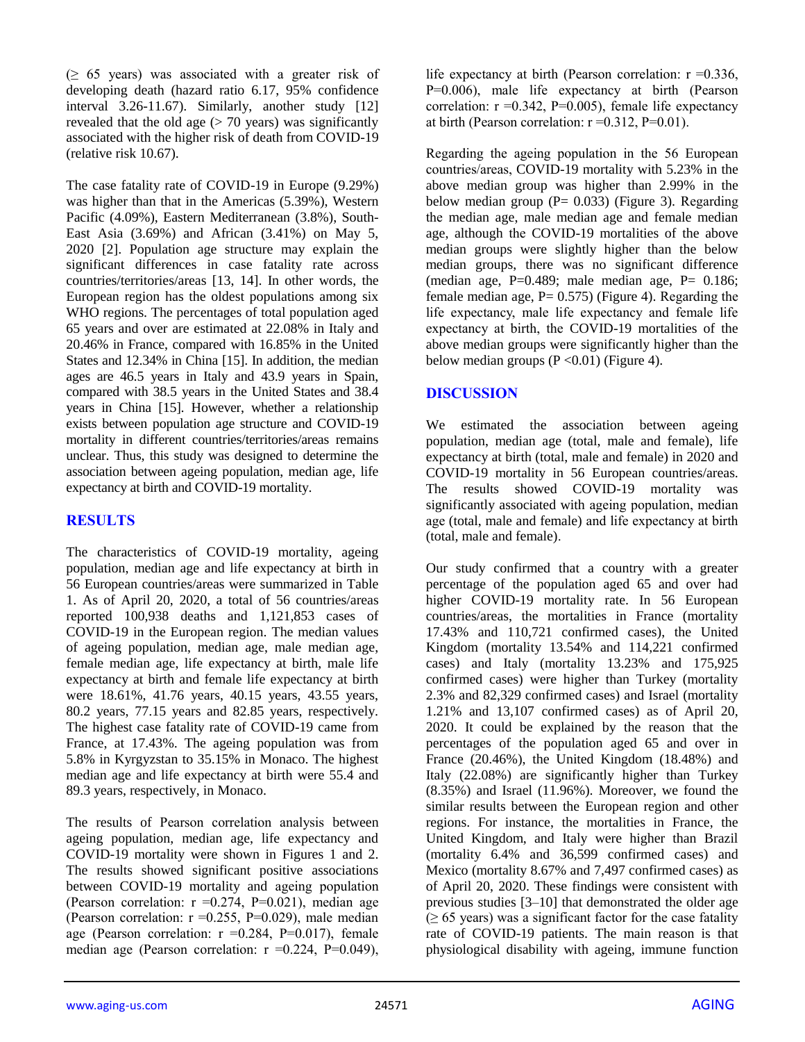$(≥ 65 \text{ years})$  was associated with a greater risk of developing death (hazard ratio 6.17, 95% confidence interval 3.26-11.67). Similarly, another study [12] revealed that the old age  $($  > 70 years) was significantly associated with the higher risk of death from COVID-19 (relative risk 10.67).

The case fatality rate of COVID-19 in Europe (9.29%) was higher than that in the Americas (5.39%), Western Pacific (4.09%), Eastern Mediterranean (3.8%), South-East Asia (3.69%) and African (3.41%) on May 5, 2020 [2]. Population age structure may explain the significant differences in case fatality rate across countries/territories/areas [13, 14]. In other words, the European region has the oldest populations among six WHO regions. The percentages of total population aged 65 years and over are estimated at 22.08% in Italy and 20.46% in France, compared with 16.85% in the United States and 12.34% in China [15]. In addition, the median ages are 46.5 years in Italy and 43.9 years in Spain, compared with 38.5 years in the United States and 38.4 years in China [15]. However, whether a relationship exists between population age structure and COVID-19 mortality in different countries/territories/areas remains unclear. Thus, this study was designed to determine the association between ageing population, median age, life expectancy at birth and COVID-19 mortality.

## **RESULTS**

The characteristics of COVID-19 mortality, ageing population, median age and life expectancy at birth in 56 European countries/areas were summarized in Table 1. As of April 20, 2020, a total of 56 countries/areas reported 100,938 deaths and 1,121,853 cases of COVID-19 in the European region. The median values of ageing population, median age, male median age, female median age, life expectancy at birth, male life expectancy at birth and female life expectancy at birth were 18.61%, 41.76 years, 40.15 years, 43.55 years, 80.2 years, 77.15 years and 82.85 years, respectively. The highest case fatality rate of COVID-19 came from France, at 17.43%. The ageing population was from 5.8% in Kyrgyzstan to 35.15% in Monaco. The highest median age and life expectancy at birth were 55.4 and 89.3 years, respectively, in Monaco.

The results of Pearson correlation analysis between ageing population, median age, life expectancy and COVID-19 mortality were shown in Figures 1 and 2. The results showed significant positive associations between COVID-19 mortality and ageing population (Pearson correlation:  $r = 0.274$ , P=0.021), median age (Pearson correlation:  $r = 0.255$ , P=0.029), male median age (Pearson correlation:  $r = 0.284$ , P=0.017), female median age (Pearson correlation:  $r = 0.224$ , P=0.049),

life expectancy at birth (Pearson correlation:  $r = 0.336$ , P=0.006), male life expectancy at birth (Pearson correlation:  $r = 0.342$ ,  $P = 0.005$ ), female life expectancy at birth (Pearson correlation:  $r = 0.312$ ,  $P = 0.01$ ).

Regarding the ageing population in the 56 European countries/areas, COVID-19 mortality with 5.23% in the above median group was higher than 2.99% in the below median group ( $P = 0.033$ ) (Figure 3). Regarding the median age, male median age and female median age, although the COVID-19 mortalities of the above median groups were slightly higher than the below median groups, there was no significant difference (median age,  $P=0.489$ ; male median age,  $P= 0.186$ ; female median age,  $P = 0.575$ ) (Figure 4). Regarding the life expectancy, male life expectancy and female life expectancy at birth, the COVID-19 mortalities of the above median groups were significantly higher than the below median groups  $(P \le 0.01)$  (Figure 4).

## **DISCUSSION**

We estimated the association between ageing population, median age (total, male and female), life expectancy at birth (total, male and female) in 2020 and COVID-19 mortality in 56 European countries/areas. The results showed COVID-19 mortality was significantly associated with ageing population, median age (total, male and female) and life expectancy at birth (total, male and female).

Our study confirmed that a country with a greater percentage of the population aged 65 and over had higher COVID-19 mortality rate. In 56 European countries/areas, the mortalities in France (mortality 17.43% and 110,721 confirmed cases), the United Kingdom (mortality 13.54% and 114,221 confirmed cases) and Italy (mortality 13.23% and 175,925 confirmed cases) were higher than Turkey (mortality 2.3% and 82,329 confirmed cases) and Israel (mortality 1.21% and 13,107 confirmed cases) as of April 20, 2020. It could be explained by the reason that the percentages of the population aged 65 and over in France (20.46%), the United Kingdom (18.48%) and Italy (22.08%) are significantly higher than Turkey (8.35%) and Israel (11.96%). Moreover, we found the similar results between the European region and other regions. For instance, the mortalities in France, the United Kingdom, and Italy were higher than Brazil (mortality 6.4% and 36,599 confirmed cases) and Mexico (mortality 8.67% and 7,497 confirmed cases) as of April 20, 2020. These findings were consistent with previous studies [3–10] that demonstrated the older age  $(≥ 65 \text{ years})$  was a significant factor for the case fatality rate of COVID-19 patients. The main reason is that physiological disability with ageing, immune function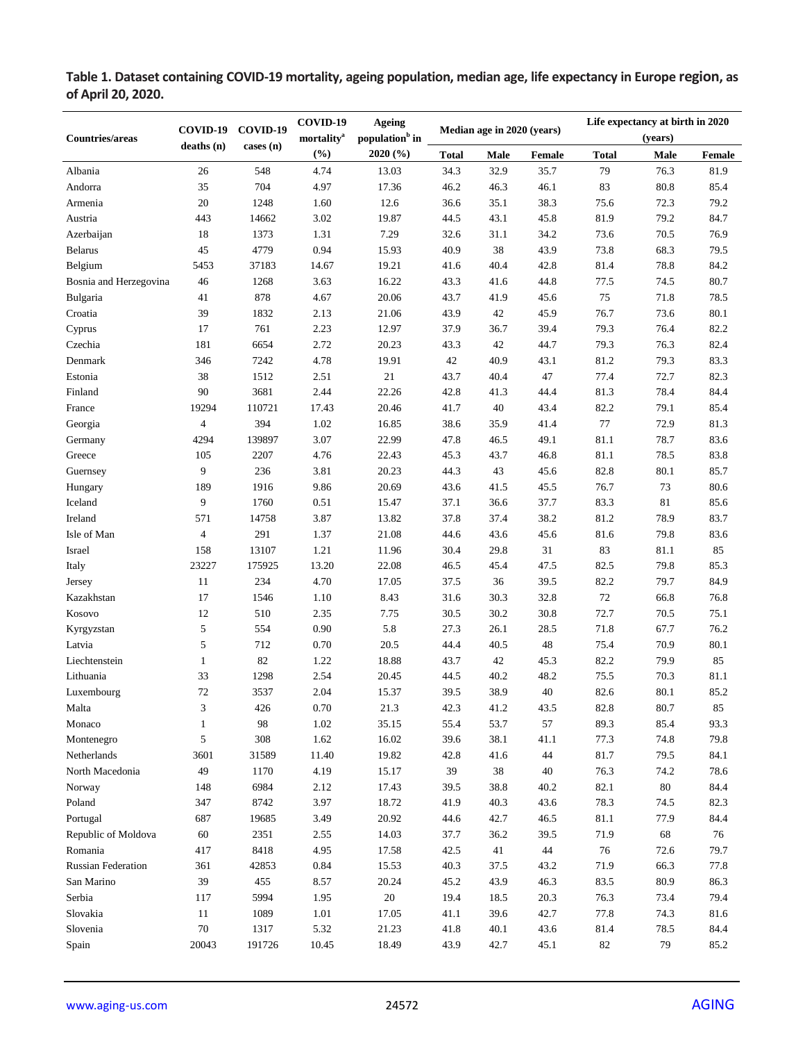**Table 1. Dataset containing COVID-19 mortality, ageing population, median age, life expectancy in Europe region, as of April 20, 2020.**

| <b>Countries/areas</b>    | COVID-19       | COVID-19<br>cases (n) | COVID-19<br>mortality <sup>a</sup> | <b>Ageing</b><br>population <sup>b</sup> in<br>2020 (%) | Median age in 2020 (years) |      |        | Life expectancy at birth in 2020<br>(years) |        |        |
|---------------------------|----------------|-----------------------|------------------------------------|---------------------------------------------------------|----------------------------|------|--------|---------------------------------------------|--------|--------|
|                           | deaths(n)      |                       | (%)                                |                                                         | <b>Total</b>               | Male | Female | <b>Total</b>                                | Male   | Female |
| Albania                   | 26             | 548                   | 4.74                               | 13.03                                                   | 34.3                       | 32.9 | 35.7   | 79                                          | 76.3   | 81.9   |
| Andorra                   | 35             | 704                   | 4.97                               | 17.36                                                   | 46.2                       | 46.3 | 46.1   | 83                                          | 80.8   | 85.4   |
| Armenia                   | $20\,$         | 1248                  | 1.60                               | 12.6                                                    | 36.6                       | 35.1 | 38.3   | 75.6                                        | 72.3   | 79.2   |
| Austria                   | 443            | 14662                 | 3.02                               | 19.87                                                   | 44.5                       | 43.1 | 45.8   | 81.9                                        | 79.2   | 84.7   |
| Azerbaijan                | 18             | 1373                  | 1.31                               | 7.29                                                    | 32.6                       | 31.1 | 34.2   | 73.6                                        | 70.5   | 76.9   |
| <b>Belarus</b>            | 45             | 4779                  | 0.94                               | 15.93                                                   | 40.9                       | 38   | 43.9   | 73.8                                        | 68.3   | 79.5   |
| Belgium                   | 5453           | 37183                 | 14.67                              | 19.21                                                   | 41.6                       | 40.4 | 42.8   | 81.4                                        | 78.8   | 84.2   |
| Bosnia and Herzegovina    | 46             | 1268                  | 3.63                               | 16.22                                                   | 43.3                       | 41.6 | 44.8   | 77.5                                        | 74.5   | 80.7   |
| Bulgaria                  | 41             | 878                   | 4.67                               | 20.06                                                   | 43.7                       | 41.9 | 45.6   | 75                                          | 71.8   | 78.5   |
| Croatia                   | 39             | 1832                  | 2.13                               | 21.06                                                   | 43.9                       | 42   | 45.9   | 76.7                                        | 73.6   | 80.1   |
| Cyprus                    | 17             | 761                   | 2.23                               | 12.97                                                   | 37.9                       | 36.7 | 39.4   | 79.3                                        | 76.4   | 82.2   |
| Czechia                   | 181            | 6654                  | 2.72                               | 20.23                                                   | 43.3                       | 42   | 44.7   | 79.3                                        | 76.3   | 82.4   |
| Denmark                   | 346            | 7242                  | 4.78                               | 19.91                                                   | 42                         | 40.9 | 43.1   | 81.2                                        | 79.3   | 83.3   |
| Estonia                   | 38             | 1512                  | 2.51                               | 21                                                      | 43.7                       | 40.4 | 47     | 77.4                                        | 72.7   | 82.3   |
| Finland                   | 90             | 3681                  | 2.44                               | 22.26                                                   | 42.8                       | 41.3 | 44.4   | 81.3                                        | 78.4   | 84.4   |
| France                    | 19294          | 110721                | 17.43                              | 20.46                                                   | 41.7                       | 40   | 43.4   | 82.2                                        | 79.1   | 85.4   |
| Georgia                   | $\overline{4}$ | 394                   | 1.02                               | 16.85                                                   | 38.6                       | 35.9 | 41.4   | $77\,$                                      | 72.9   | 81.3   |
| Germany                   | 4294           | 139897                | 3.07                               | 22.99                                                   | 47.8                       | 46.5 | 49.1   | 81.1                                        | 78.7   | 83.6   |
| Greece                    | 105            | 2207                  | 4.76                               | 22.43                                                   | 45.3                       | 43.7 | 46.8   | 81.1                                        | 78.5   | 83.8   |
| Guernsey                  | 9              | 236                   | 3.81                               | 20.23                                                   | 44.3                       | 43   | 45.6   | 82.8                                        | 80.1   | 85.7   |
| Hungary                   | 189            | 1916                  | 9.86                               | 20.69                                                   | 43.6                       | 41.5 | 45.5   | 76.7                                        | 73     | 80.6   |
| Iceland                   | 9              | 1760                  | 0.51                               | 15.47                                                   | 37.1                       | 36.6 | 37.7   | 83.3                                        | 81     | 85.6   |
| Ireland                   | 571            | 14758                 | 3.87                               | 13.82                                                   | 37.8                       | 37.4 | 38.2   | 81.2                                        | 78.9   | 83.7   |
| Isle of Man               | $\overline{4}$ | 291                   | 1.37                               | 21.08                                                   | 44.6                       | 43.6 | 45.6   | 81.6                                        | 79.8   | 83.6   |
| Israel                    | 158            | 13107                 | 1.21                               | 11.96                                                   | 30.4                       | 29.8 | 31     | 83                                          | 81.1   | 85     |
| Italy                     | 23227          | 175925                | 13.20                              | 22.08                                                   | 46.5                       | 45.4 | 47.5   | 82.5                                        | 79.8   | 85.3   |
| Jersey                    | 11             | 234                   | 4.70                               | 17.05                                                   | 37.5                       | 36   | 39.5   | 82.2                                        | 79.7   | 84.9   |
| Kazakhstan                | 17             | 1546                  | 1.10                               | 8.43                                                    | 31.6                       | 30.3 | 32.8   | $72\,$                                      | 66.8   | 76.8   |
| Kosovo                    | 12             | 510                   | 2.35                               | 7.75                                                    | 30.5                       | 30.2 | 30.8   | 72.7                                        | 70.5   | 75.1   |
| Kyrgyzstan                | 5              | 554                   | 0.90                               | 5.8                                                     | 27.3                       | 26.1 | 28.5   | 71.8                                        | 67.7   | 76.2   |
| Latvia                    | 5              | 712                   | 0.70                               | 20.5                                                    | 44.4                       | 40.5 | 48     | 75.4                                        | 70.9   | 80.1   |
| Liechtenstein             | $\mathbf{1}$   | 82                    | 1.22                               | 18.88                                                   | 43.7                       | 42   | 45.3   | 82.2                                        | 79.9   | 85     |
| Lithuania                 | 33             | 1298                  | 2.54                               | 20.45                                                   | 44.5                       | 40.2 | 48.2   | 75.5                                        | 70.3   | 81.1   |
| Luxembourg                | 72             | 3537                  | 2.04                               | 15.37                                                   | 39.5                       | 38.9 | 40     | 82.6                                        | 80.1   | 85.2   |
| Malta                     | 3              | 426                   | $0.70\,$                           | 21.3                                                    | 42.3                       | 41.2 | 43.5   | 82.8                                        | 80.7   | 85     |
| Monaco                    | 1              | 98                    | $1.02\,$                           | 35.15                                                   | 55.4                       | 53.7 | 57     | 89.3                                        | 85.4   | 93.3   |
| Montenegro                | 5              | 308                   | 1.62                               | 16.02                                                   | 39.6                       | 38.1 | 41.1   | 77.3                                        | 74.8   | 79.8   |
| Netherlands               | 3601           | 31589                 | 11.40                              | 19.82                                                   | 42.8                       | 41.6 | 44     | 81.7                                        | 79.5   | 84.1   |
| North Macedonia           | 49             | 1170                  | 4.19                               | 15.17                                                   | 39                         | 38   | 40     | 76.3                                        | 74.2   | 78.6   |
| Norway                    | 148            | 6984                  | 2.12                               | 17.43                                                   | 39.5                       | 38.8 | 40.2   | 82.1                                        | $80\,$ | 84.4   |
| Poland                    | 347            | 8742                  | 3.97                               | 18.72                                                   | 41.9                       | 40.3 | 43.6   | 78.3                                        | 74.5   | 82.3   |
| Portugal                  | 687            | 19685                 | 3.49                               | 20.92                                                   | 44.6                       | 42.7 | 46.5   | 81.1                                        | 77.9   | 84.4   |
| Republic of Moldova       | 60             | 2351                  | 2.55                               | 14.03                                                   | 37.7                       | 36.2 | 39.5   | 71.9                                        | 68     | $76\,$ |
| Romania                   | 417            | 8418                  | 4.95                               | 17.58                                                   | 42.5                       | 41   | 44     | 76                                          | 72.6   | 79.7   |
| <b>Russian Federation</b> | 361            | 42853                 | 0.84                               | 15.53                                                   | 40.3                       | 37.5 | 43.2   | 71.9                                        | 66.3   | 77.8   |
| San Marino                | 39             | 455                   | 8.57                               | 20.24                                                   | 45.2                       | 43.9 | 46.3   | 83.5                                        | 80.9   | 86.3   |
| Serbia                    | 117            | 5994                  | 1.95                               | $20\,$                                                  | 19.4                       | 18.5 | 20.3   | 76.3                                        | 73.4   | 79.4   |
| Slovakia                  | 11             | 1089                  | 1.01                               | 17.05                                                   | 41.1                       | 39.6 | 42.7   | 77.8                                        | 74.3   | 81.6   |
| Slovenia                  | $70\,$         | 1317                  | 5.32                               | 21.23                                                   | 41.8                       | 40.1 | 43.6   | 81.4                                        | 78.5   | 84.4   |
| Spain                     | 20043          | 191726                | 10.45                              | 18.49                                                   | 43.9                       | 42.7 | 45.1   | 82                                          | 79     | 85.2   |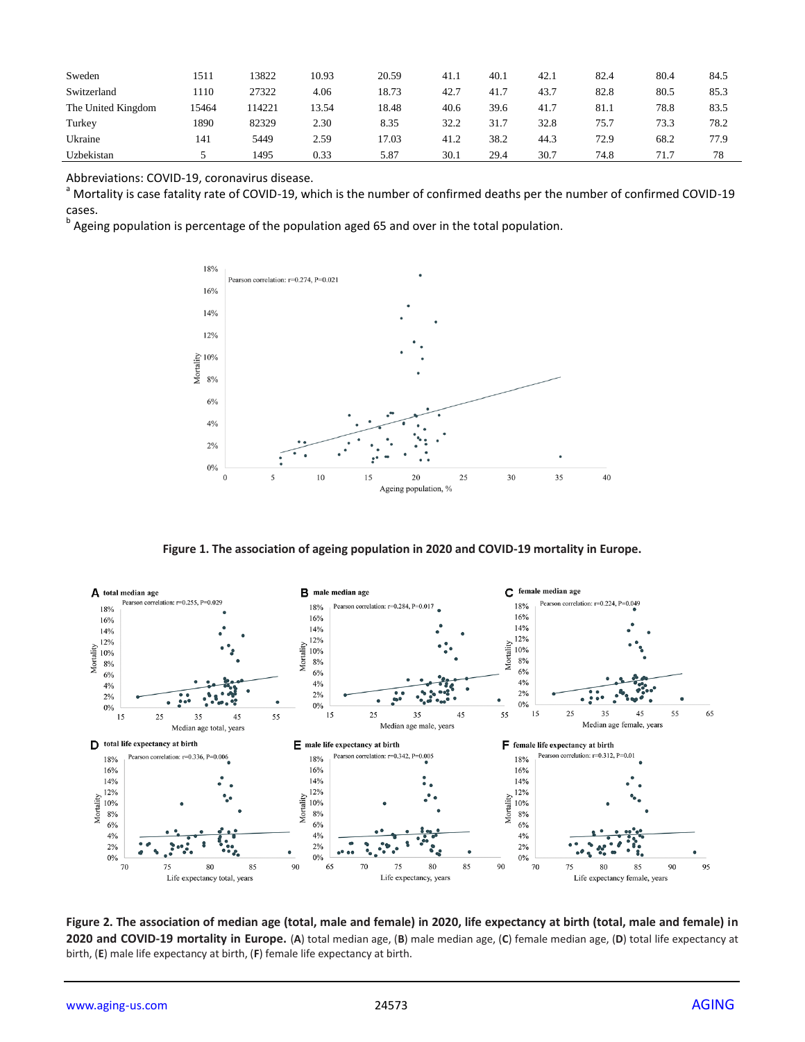| Sweden             | 1511  | 3822   | 10.93 | 20.59 | 41.1 | 40.1 | 42.1 | 82.4 | 80.4 | 84.5 |
|--------------------|-------|--------|-------|-------|------|------|------|------|------|------|
| Switzerland        | 1110  | 27322  | 4.06  | 18.73 | 42.7 | 41.7 | 43.7 | 82.8 | 80.5 | 85.3 |
| The United Kingdom | 15464 | 114221 | 13.54 | 18.48 | 40.6 | 39.6 | 41.7 | 81.1 | 78.8 | 83.5 |
| Turkey             | 1890  | 82329  | 2.30  | 8.35  | 32.2 | 31.7 | 32.8 | 75.7 | 73.3 | 78.2 |
| Ukraine            | 141   | 5449   | 2.59  | 17.03 | 41.2 | 38.2 | 44.3 | 72.9 | 68.2 | 77.9 |
| Uzbekistan         |       | 1495   | 0.33  | 5.87  | 30.1 | 29.4 | 30.7 | 74.8 | 71.7 | 78   |

Abbreviations: COVID-19, coronavirus disease.

<sup>a</sup> Mortality is case fatality rate of COVID-19, which is the number of confirmed deaths per the number of confirmed COVID-19 cases.

<sup>b</sup> Ageing population is percentage of the population aged 65 and over in the total population.



**Figure 1. The association of ageing population in 2020 and COVID-19 mortality in Europe.** 



**Figure 2. The association of median age (total, male and female) in 2020, life expectancy at birth (total, male and female) in 2020 and COVID-19 mortality in Europe.** (**A**) total median age, (**B**) male median age, (**C**) female median age, (**D**) total life expectancy at birth, (**E**) male life expectancy at birth, (**F**) female life expectancy at birth.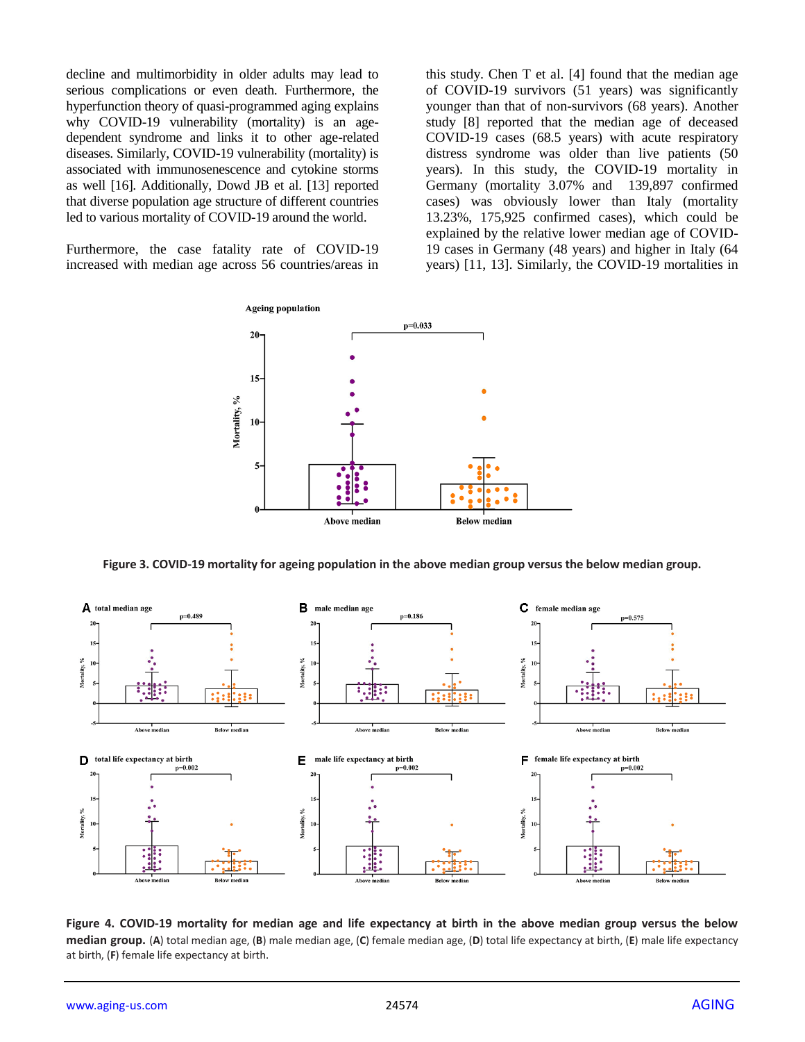decline and multimorbidity in older adults may lead to serious complications or even death. Furthermore, the hyperfunction theory of quasi-programmed aging explains why COVID-19 vulnerability (mortality) is an agedependent syndrome and links it to other age-related diseases. Similarly, COVID-19 vulnerability (mortality) is associated with immunosenescence and cytokine storms as well [16]. Additionally, Dowd JB et al. [13] reported that diverse population age structure of different countries led to various mortality of COVID-19 around the world.

Furthermore, the case fatality rate of COVID-19 increased with median age across 56 countries/areas in this study. Chen T et al. [4] found that the median age of COVID-19 survivors (51 years) was significantly younger than that of non-survivors (68 years). Another study [8] reported that the median age of deceased COVID-19 cases (68.5 years) with acute respiratory distress syndrome was older than live patients (50 years). In this study, the COVID-19 mortality in Germany (mortality 3.07% and 139,897 confirmed cases) was obviously lower than Italy (mortality 13.23%, 175,925 confirmed cases), which could be explained by the relative lower median age of COVID-19 cases in Germany (48 years) and higher in Italy (64 years) [11, 13]. Similarly, the COVID-19 mortalities in



**Figure 3. COVID-19 mortality for ageing population in the above median group versus the below median group.**



**Figure 4. COVID-19 mortality for median age and life expectancy at birth in the above median group versus the below median group.** (**A**) total median age, (**B**) male median age, (**C**) female median age, (**D**) total life expectancy at birth, (**E**) male life expectancy at birth, (**F**) female life expectancy at birth.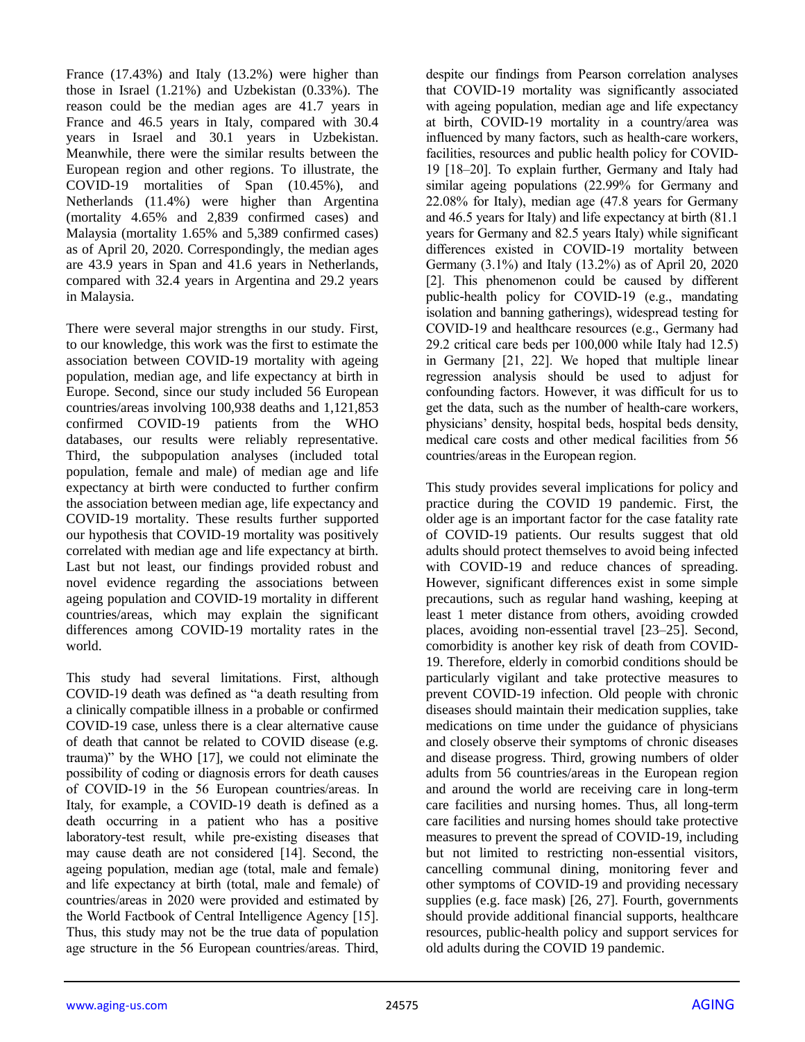France (17.43%) and Italy (13.2%) were higher than those in Israel (1.21%) and Uzbekistan (0.33%). The reason could be the median ages are 41.7 years in France and 46.5 years in Italy, compared with 30.4 years in Israel and 30.1 years in Uzbekistan. Meanwhile, there were the similar results between the European region and other regions. To illustrate, the COVID-19 mortalities of Span (10.45%), and Netherlands (11.4%) were higher than Argentina (mortality 4.65% and 2,839 confirmed cases) and Malaysia (mortality 1.65% and 5,389 confirmed cases) as of April 20, 2020. Correspondingly, the median ages are 43.9 years in Span and 41.6 years in Netherlands, compared with 32.4 years in Argentina and 29.2 years in Malaysia.

There were several major strengths in our study. First, to our knowledge, this work was the first to estimate the association between COVID-19 mortality with ageing population, median age, and life expectancy at birth in Europe. Second, since our study included 56 European countries/areas involving 100,938 deaths and 1,121,853 confirmed COVID-19 patients from the WHO databases, our results were reliably representative. Third, the subpopulation analyses (included total population, female and male) of median age and life expectancy at birth were conducted to further confirm the association between median age, life expectancy and COVID-19 mortality. These results further supported our hypothesis that COVID-19 mortality was positively correlated with median age and life expectancy at birth. Last but not least, our findings provided robust and novel evidence regarding the associations between ageing population and COVID-19 mortality in different countries/areas, which may explain the significant differences among COVID-19 mortality rates in the world.

This study had several limitations. First, although COVID-19 death was defined as "a death resulting from a clinically compatible illness in a probable or confirmed COVID-19 case, unless there is a clear alternative cause of death that cannot be related to COVID disease (e.g. trauma)" by the WHO [17], we could not eliminate the possibility of coding or diagnosis errors for death causes of COVID-19 in the 56 European countries/areas. In Italy, for example, a COVID-19 death is defined as a death occurring in a patient who has a positive laboratory-test result, while pre-existing diseases that may cause death are not considered [14]. Second, the ageing population, median age (total, male and female) and life expectancy at birth (total, male and female) of countries/areas in 2020 were provided and estimated by the World Factbook of Central Intelligence Agency [15]. Thus, this study may not be the true data of population age structure in the 56 European countries/areas. Third, despite our findings from Pearson correlation analyses that COVID-19 mortality was significantly associated with ageing population, median age and life expectancy at birth, COVID-19 mortality in a country/area was influenced by many factors, such as health-care workers, facilities, resources and public health policy for COVID-19 [18–20]. To explain further, Germany and Italy had similar ageing populations (22.99% for Germany and 22.08% for Italy), median age (47.8 years for Germany and 46.5 years for Italy) and life expectancy at birth (81.1 years for Germany and 82.5 years Italy) while significant differences existed in COVID-19 mortality between Germany (3.1%) and Italy (13.2%) as of April 20, 2020 [2]. This phenomenon could be caused by different public-health policy for COVID-19 (e.g., mandating isolation and banning gatherings), widespread testing for COVID-19 and healthcare resources (e.g., Germany had 29.2 critical care beds per 100,000 while Italy had 12.5) in Germany [21, 22]. We hoped that multiple linear regression analysis should be used to adjust for confounding factors. However, it was difficult for us to get the data, such as the number of health-care workers, physicians' density, hospital beds, hospital beds density, medical care costs and other medical facilities from 56 countries/areas in the European region.

This study provides several implications for policy and practice during the COVID 19 pandemic. First, the older age is an important factor for the case fatality rate of COVID-19 patients. Our results suggest that old adults should protect themselves to avoid being infected with COVID-19 and reduce chances of spreading. However, significant differences exist in some simple precautions, such as regular hand washing, keeping at least 1 meter distance from others, avoiding crowded places, avoiding non-essential travel [23–25]. Second, comorbidity is another key risk of death from COVID-19. Therefore, elderly in comorbid conditions should be particularly vigilant and take protective measures to prevent COVID-19 infection. Old people with chronic diseases should maintain their medication supplies, take medications on time under the guidance of physicians and closely observe their symptoms of chronic diseases and disease progress. Third, growing numbers of older adults from 56 countries/areas in the European region and around the world are receiving care in long-term care facilities and nursing homes. Thus, all long-term care facilities and nursing homes should take protective measures to prevent the spread of COVID-19, including but not limited to restricting non-essential visitors, cancelling communal dining, monitoring fever and other symptoms of COVID-19 and providing necessary supplies (e.g. face mask) [26, 27]. Fourth, governments should provide additional financial supports, healthcare resources, public-health policy and support services for old adults during the COVID 19 pandemic.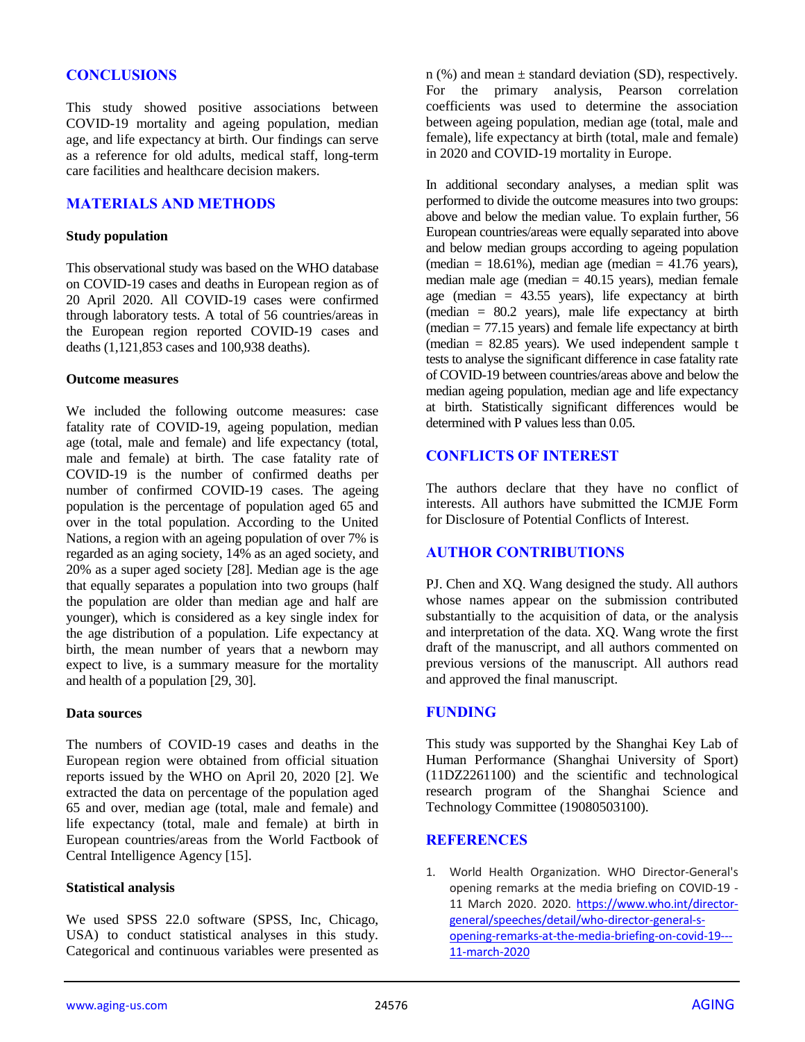## **CONCLUSIONS**

This study showed positive associations between COVID-19 mortality and ageing population, median age, and life expectancy at birth. Our findings can serve as a reference for old adults, medical staff, long-term care facilities and healthcare decision makers.

## **MATERIALS AND METHODS**

#### **Study population**

This observational study was based on the WHO database on COVID-19 cases and deaths in European region as of 20 April 2020. All COVID-19 cases were confirmed through laboratory tests. A total of 56 countries/areas in the European region reported COVID-19 cases and deaths (1,121,853 cases and 100,938 deaths).

#### **Outcome measures**

We included the following outcome measures: case fatality rate of COVID-19, ageing population, median age (total, male and female) and life expectancy (total, male and female) at birth. The case fatality rate of COVID-19 is the number of confirmed deaths per number of confirmed COVID-19 cases. The ageing population is the percentage of population aged 65 and over in the total population. According to the United Nations, a region with an ageing population of over 7% is regarded as an aging society, 14% as an aged society, and 20% as a super aged society [28]. Median age is the age that equally separates a population into two groups (half the population are older than median age and half are younger), which is considered as a key single index for the age distribution of a population. Life expectancy at birth, the mean number of years that a newborn may expect to live, is a summary measure for the mortality and health of a population [29, 30].

#### **Data sources**

The numbers of COVID-19 cases and deaths in the European region were obtained from official situation reports issued by the WHO on April 20, 2020 [2]. We extracted the data on percentage of the population aged 65 and over, median age (total, male and female) and life expectancy (total, male and female) at birth in European countries/areas from the World Factbook of Central Intelligence Agency [15].

#### **Statistical analysis**

We used SPSS 22.0 software (SPSS, Inc, Chicago, USA) to conduct statistical analyses in this study. Categorical and continuous variables were presented as  $n$  (%) and mean  $\pm$  standard deviation (SD), respectively. For the primary analysis, Pearson correlation coefficients was used to determine the association between ageing population, median age (total, male and female), life expectancy at birth (total, male and female) in 2020 and COVID-19 mortality in Europe.

In additional secondary analyses, a median split was performed to divide the outcome measures into two groups: above and below the median value. To explain further, 56 European countries/areas were equally separated into above and below median groups according to ageing population (median = 18.61%), median age (median =  $41.76$  years), median male age (median  $= 40.15$  years), median female age (median = 43.55 years), life expectancy at birth (median = 80.2 years), male life expectancy at birth (median  $= 77.15$  years) and female life expectancy at birth (median  $= 82.85$  years). We used independent sample t tests to analyse the significant difference in case fatality rate of COVID-19 between countries/areas above and below the median ageing population, median age and life expectancy at birth. Statistically significant differences would be determined with P values less than 0.05

## **CONFLICTS OF INTEREST**

The authors declare that they have no conflict of interests. All authors have submitted the ICMJE Form for Disclosure of Potential Conflicts of Interest.

## **AUTHOR CONTRIBUTIONS**

PJ. Chen and XQ. Wang designed the study. All authors whose names appear on the submission contributed substantially to the acquisition of data, or the analysis and interpretation of the data. XQ. Wang wrote the first draft of the manuscript, and all authors commented on previous versions of the manuscript. All authors read and approved the final manuscript.

#### **FUNDING**

This study was supported by the Shanghai Key Lab of Human Performance (Shanghai University of Sport) (11DZ2261100) and the scientific and technological research program of the Shanghai Science and Technology Committee (19080503100).

#### **REFERENCES**

1. World Health Organization. WHO Director-General's opening remarks at the media briefing on COVID-19 - 11 March 2020. 2020. [https://www.who.int/director](https://www.who.int/director-general/speeches/detail/who-director-general-s-opening-remarks-at-the-media-briefing-on-covid-19---11-march-2020)[general/speeches/detail/who-director-general-s](https://www.who.int/director-general/speeches/detail/who-director-general-s-opening-remarks-at-the-media-briefing-on-covid-19---11-march-2020)[opening-remarks-at-the-media-briefing-on-covid-19---](https://www.who.int/director-general/speeches/detail/who-director-general-s-opening-remarks-at-the-media-briefing-on-covid-19---11-march-2020) [11-march-2020](https://www.who.int/director-general/speeches/detail/who-director-general-s-opening-remarks-at-the-media-briefing-on-covid-19---11-march-2020)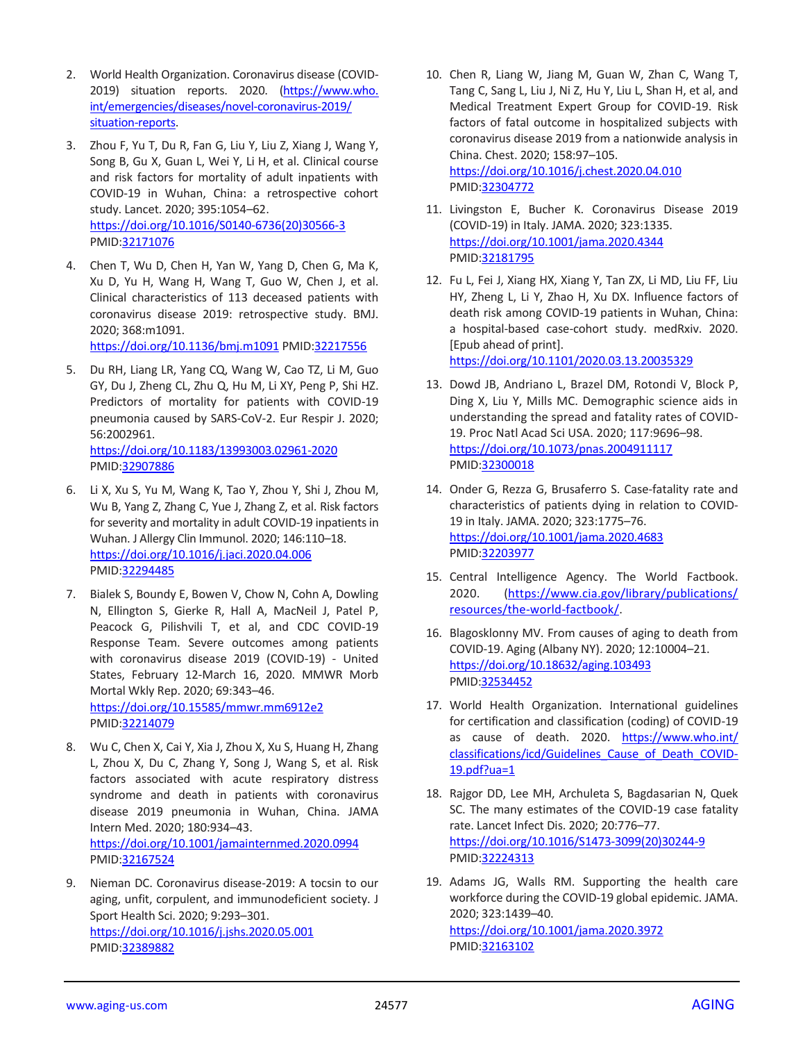- 2. World Health Organization. Coronavirus disease (COVID-2019) situation reports. 2020. [\(https://www.who.](https://www.who.int/emergencies/diseases/novel-coronavirus-2019/situation-reports) [int/emergencies/diseases/novel-coronavirus-2019/](https://www.who.int/emergencies/diseases/novel-coronavirus-2019/situation-reports) [situation-reports.](https://www.who.int/emergencies/diseases/novel-coronavirus-2019/situation-reports)
- 3. Zhou F, Yu T, Du R, Fan G, Liu Y, Liu Z, Xiang J, Wang Y, Song B, Gu X, Guan L, Wei Y, Li H, et al. Clinical course and risk factors for mortality of adult inpatients with COVID-19 in Wuhan, China: a retrospective cohort study. Lancet. 2020; 395:1054–62. [https://doi.org/10.1016/S0140-6736\(20\)30566-3](https://doi.org/10.1016/S0140-6736(20)30566-3) PMID[:32171076](https://pubmed.ncbi.nlm.nih.gov/32171076)
- 4. Chen T, Wu D, Chen H, Yan W, Yang D, Chen G, Ma K, Xu D, Yu H, Wang H, Wang T, Guo W, Chen J, et al. Clinical characteristics of 113 deceased patients with coronavirus disease 2019: retrospective study. BMJ. 2020; 368:m1091.

<https://doi.org/10.1136/bmj.m1091> PMID[:32217556](https://pubmed.ncbi.nlm.nih.gov/32217556)

5. Du RH, Liang LR, Yang CQ, Wang W, Cao TZ, Li M, Guo GY, Du J, Zheng CL, Zhu Q, Hu M, Li XY, Peng P, Shi HZ. Predictors of mortality for patients with COVID-19 pneumonia caused by SARS-CoV-2. Eur Respir J. 2020; 56:2002961.

<https://doi.org/10.1183/13993003.02961-2020> PMID[:32907886](https://pubmed.ncbi.nlm.nih.gov/32907886)

- 6. Li X, Xu S, Yu M, Wang K, Tao Y, Zhou Y, Shi J, Zhou M, Wu B, Yang Z, Zhang C, Yue J, Zhang Z, et al. Risk factors for severity and mortality in adult COVID-19 inpatients in Wuhan. J Allergy Clin Immunol. 2020; 146:110–18. <https://doi.org/10.1016/j.jaci.2020.04.006> PMID[:32294485](https://pubmed.ncbi.nlm.nih.gov/32294485)
- 7. Bialek S, Boundy E, Bowen V, Chow N, Cohn A, Dowling N, Ellington S, Gierke R, Hall A, MacNeil J, Patel P, Peacock G, Pilishvili T, et al, and CDC COVID-19 Response Team. Severe outcomes among patients with coronavirus disease 2019 (COVID-19) - United States, February 12-March 16, 2020. MMWR Morb Mortal Wkly Rep. 2020; 69:343–46. <https://doi.org/10.15585/mmwr.mm6912e2> PMID[:32214079](https://pubmed.ncbi.nlm.nih.gov/32214079)
- 8. Wu C, Chen X, Cai Y, Xia J, Zhou X, Xu S, Huang H, Zhang L, Zhou X, Du C, Zhang Y, Song J, Wang S, et al. Risk factors associated with acute respiratory distress syndrome and death in patients with coronavirus disease 2019 pneumonia in Wuhan, China. JAMA Intern Med. 2020; 180:934–43. <https://doi.org/10.1001/jamainternmed.2020.0994> PMID[:32167524](https://pubmed.ncbi.nlm.nih.gov/32167524)
- 9. Nieman DC. Coronavirus disease-2019: A tocsin to our aging, unfit, corpulent, and immunodeficient society. J Sport Health Sci. 2020; 9:293–301. <https://doi.org/10.1016/j.jshs.2020.05.001> PMID[:32389882](https://pubmed.ncbi.nlm.nih.gov/32389882)

10. Chen R, Liang W, Jiang M, Guan W, Zhan C, Wang T, Tang C, Sang L, Liu J, Ni Z, Hu Y, Liu L, Shan H, et al, and Medical Treatment Expert Group for COVID-19. Risk factors of fatal outcome in hospitalized subjects with coronavirus disease 2019 from a nationwide analysis in China. Chest. 2020; 158:97–105. <https://doi.org/10.1016/j.chest.2020.04.010>

PMI[D:32304772](https://pubmed.ncbi.nlm.nih.gov/32304772)

- 11. Livingston E, Bucher K. Coronavirus Disease 2019 (COVID-19) in Italy. JAMA. 2020; 323:1335. <https://doi.org/10.1001/jama.2020.4344> PMI[D:32181795](https://pubmed.ncbi.nlm.nih.gov/32181795)
- 12. Fu L, Fei J, Xiang HX, Xiang Y, Tan ZX, Li MD, Liu FF, Liu HY, Zheng L, Li Y, Zhao H, Xu DX. Influence factors of death risk among COVID-19 patients in Wuhan, China: a hospital-based case-cohort study. medRxiv. 2020. [Epub ahead of print]. <https://doi.org/10.1101/2020.03.13.20035329>
- 13. Dowd JB, Andriano L, Brazel DM, Rotondi V, Block P, Ding X, Liu Y, Mills MC. Demographic science aids in understanding the spread and fatality rates of COVID-19. Proc Natl Acad Sci USA. 2020; 117:9696–98. <https://doi.org/10.1073/pnas.2004911117> PMI[D:32300018](https://pubmed.ncbi.nlm.nih.gov/32300018)
- 14. Onder G, Rezza G, Brusaferro S. Case-fatality rate and characteristics of patients dying in relation to COVID-19 in Italy. JAMA. 2020; 323:1775–76. <https://doi.org/10.1001/jama.2020.4683> PMI[D:32203977](https://pubmed.ncbi.nlm.nih.gov/32203977)
- 15. Central Intelligence Agency. The World Factbook. 2020. [\(https://www.cia.gov/library/publications/](https://www.cia.gov/library/publications/resources/the-world-factbook/) [resources/the-world-factbook/.](https://www.cia.gov/library/publications/resources/the-world-factbook/)
- 16. Blagosklonny MV. From causes of aging to death from COVID-19. Aging (Albany NY). 2020; 12:10004–21. <https://doi.org/10.18632/aging.103493> PMID[:32534452](https://pubmed.ncbi.nlm.nih.gov/32534452)
- 17. World Health Organization. International guidelines for certification and classification (coding) of COVID-19 as cause of death. 2020. [https://www.who.int/](https://www.who.int/classifications/icd/Guidelines_Cause_of_Death_COVID-19.pdf?ua=1) [classifications/icd/Guidelines\\_Cause\\_of\\_Death\\_COVID-](https://www.who.int/classifications/icd/Guidelines_Cause_of_Death_COVID-19.pdf?ua=1)[19.pdf?ua=1](https://www.who.int/classifications/icd/Guidelines_Cause_of_Death_COVID-19.pdf?ua=1)
- 18. Rajgor DD, Lee MH, Archuleta S, Bagdasarian N, Quek SC. The many estimates of the COVID-19 case fatality rate. Lancet Infect Dis. 2020; 20:776–77. [https://doi.org/10.1016/S1473-3099\(20\)30244-9](https://doi.org/10.1016/S1473-3099(20)30244-9) PMI[D:32224313](https://pubmed.ncbi.nlm.nih.gov/32224313)
- 19. Adams JG, Walls RM. Supporting the health care workforce during the COVID-19 global epidemic. JAMA. 2020; 323:1439–40. <https://doi.org/10.1001/jama.2020.3972> PMI[D:32163102](https://pubmed.ncbi.nlm.nih.gov/32163102)